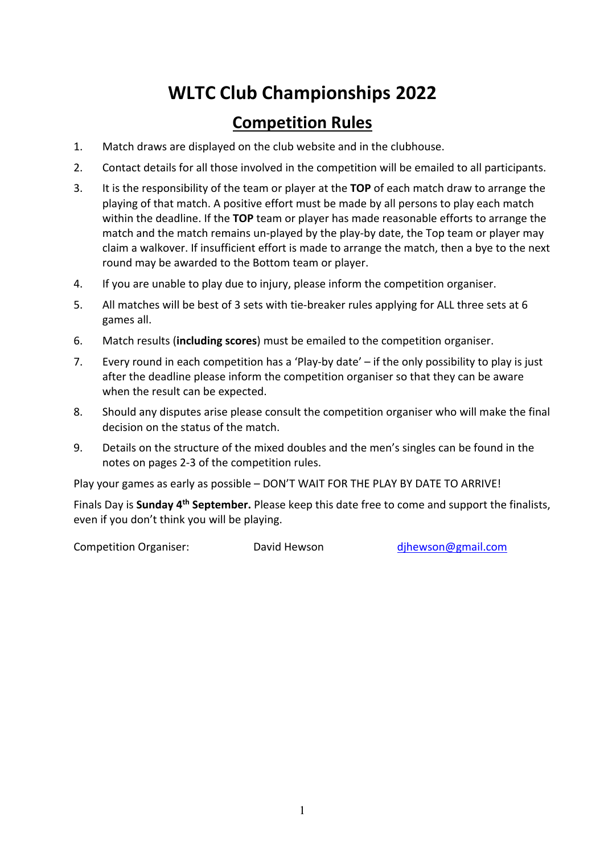# **WLTC Club Championships 2022**

#### **Competition Rules**

- 1. Match draws are displayed on the club website and in the clubhouse.
- 2. Contact details for all those involved in the competition will be emailed to all participants.
- 3. It is the responsibility of the team or player at the **TOP** of each match draw to arrange the playing of that match. A positive effort must be made by all persons to play each match within the deadline. If the **TOP** team or player has made reasonable efforts to arrange the match and the match remains un-played by the play-by date, the Top team or player may claim a walkover. If insufficient effort is made to arrange the match, then a bye to the next round may be awarded to the Bottom team or player.
- 4. If you are unable to play due to injury, please inform the competition organiser.
- 5. All matches will be best of 3 sets with tie-breaker rules applying for ALL three sets at 6 games all.
- 6. Match results (**including scores**) must be emailed to the competition organiser.
- 7. Every round in each competition has a 'Play-by date' if the only possibility to play is just after the deadline please inform the competition organiser so that they can be aware when the result can be expected.
- 8. Should any disputes arise please consult the competition organiser who will make the final decision on the status of the match.
- 9. Details on the structure of the mixed doubles and the men's singles can be found in the notes on pages 2-3 of the competition rules.

Play your games as early as possible – DON'T WAIT FOR THE PLAY BY DATE TO ARRIVE!

Finals Day is **Sunday 4th September.** Please keep this date free to come and support the finalists, even if you don't think you will be playing.

Competition Organiser: David Hewson dihewson@gmail.com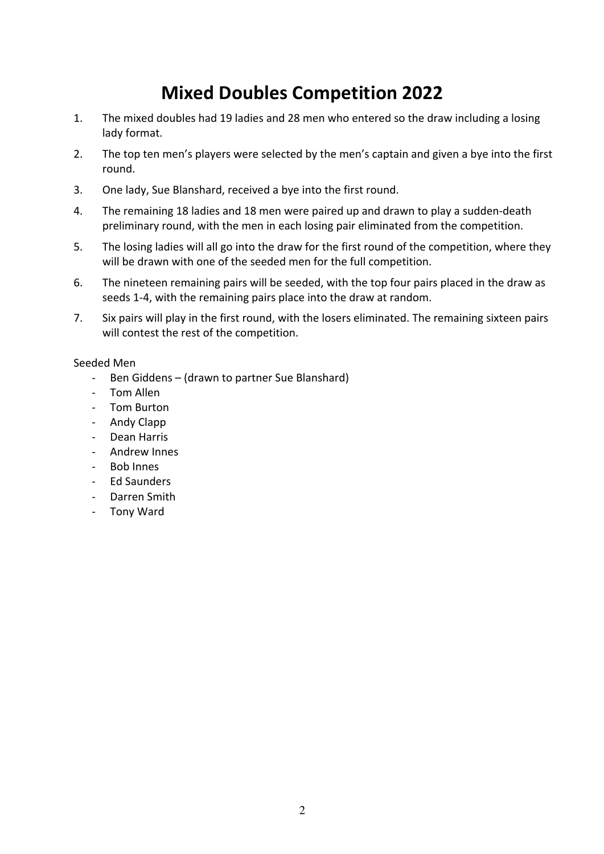### **Mixed Doubles Competition 2022**

- 1. The mixed doubles had 19 ladies and 28 men who entered so the draw including a losing lady format.
- 2. The top ten men's players were selected by the men's captain and given a bye into the first round.
- 3. One lady, Sue Blanshard, received a bye into the first round.
- 4. The remaining 18 ladies and 18 men were paired up and drawn to play a sudden-death preliminary round, with the men in each losing pair eliminated from the competition.
- 5. The losing ladies will all go into the draw for the first round of the competition, where they will be drawn with one of the seeded men for the full competition.
- 6. The nineteen remaining pairs will be seeded, with the top four pairs placed in the draw as seeds 1-4, with the remaining pairs place into the draw at random.
- 7. Six pairs will play in the first round, with the losers eliminated. The remaining sixteen pairs will contest the rest of the competition.

#### Seeded Men

- Ben Giddens (drawn to partner Sue Blanshard)
- Tom Allen
- Tom Burton
- Andy Clapp
- Dean Harris
- Andrew Innes
- Bob Innes
- Ed Saunders
- Darren Smith
- Tony Ward